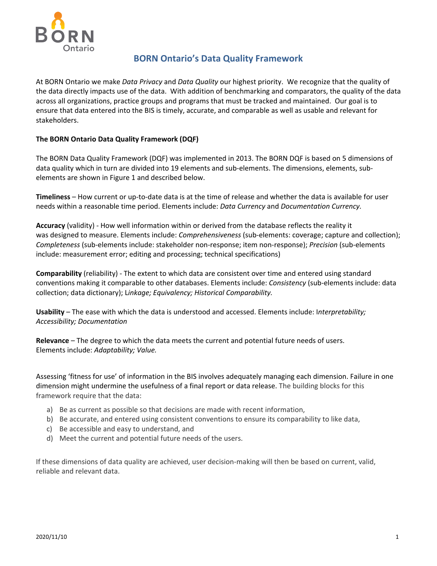

# **BORN Ontario's Data Quality Framework**

At BORN Ontario we make *Data Privacy* and *Data Quality* our highest priority. We recognize that the quality of the data directly impacts use of the data. With addition of benchmarking and comparators, the quality of the data across all organizations, practice groups and programs that must be tracked and maintained. Our goal is to ensure that data entered into the BIS is timely, accurate, and comparable as well as usable and relevant for stakeholders.

## **The BORN Ontario Data Quality Framework (DQF)**

The BORN Data Quality Framework (DQF) was implemented in 2013. The BORN DQF is based on 5 dimensions of data quality which in turn are divided into 19 elements and sub-elements. The dimensions, elements, subelements are shown in Figure 1 and described below.

**Timeliness** – How current or up-to-date data is at the time of release and whether the data is available for user needs within a reasonable time period. Elements include: *Data Currency* and *Documentation Currency.*

**Accuracy** (validity) - How well information within or derived from the database reflects the reality it was designed to measure. Elements include: *Comprehensiveness* (sub-elements: coverage; capture and collection); *Completeness* (sub-elements include: stakeholder non-response; item non-response); *Precision* (sub-elements include: measurement error; editing and processing; technical specifications)

**Comparability** (reliability) - The extent to which data are consistent over time and entered using standard conventions making it comparable to other databases. Elements include: *Consistency* (sub-elements include: data collection; data dictionary); L*inkage; Equivalency; Historical Comparability.*

**Usability** – The ease with which the data is understood and accessed. Elements include: I*nterpretability; Accessibility; Documentation*

**Relevance** – The degree to which the data meets the current and potential future needs of users. Elements include: *Adaptability; Value.* 

Assessing 'fitness for use' of information in the BIS involves adequately managing each dimension. Failure in one dimension might undermine the usefulness of a final report or data release. The building blocks for this framework require that the data:

- a) Be as current as possible so that decisions are made with recent information,
- b) Be accurate, and entered using consistent conventions to ensure its comparability to like data,
- c) Be accessible and easy to understand, and
- d) Meet the current and potential future needs of the users.

If these dimensions of data quality are achieved, user decision‐making will then be based on current, valid, reliable and relevant data.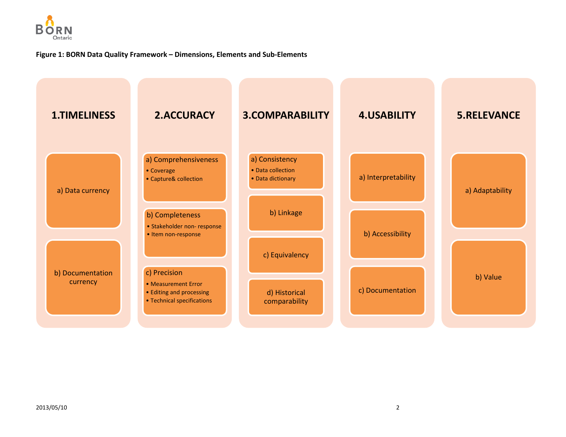

### **Figure 1: BORN Data Quality Framework – Dimensions, Elements and Sub-Elements**

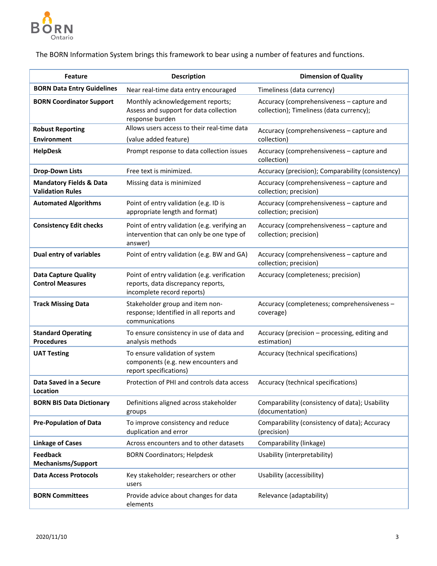

The BORN Information System brings this framework to bear using a number of features and functions.

| <b>Feature</b>                                                | <b>Description</b>                                                                                               | <b>Dimension of Quality</b>                                                           |
|---------------------------------------------------------------|------------------------------------------------------------------------------------------------------------------|---------------------------------------------------------------------------------------|
| <b>BORN Data Entry Guidelines</b>                             | Near real-time data entry encouraged                                                                             | Timeliness (data currency)                                                            |
| <b>BORN Coordinator Support</b>                               | Monthly acknowledgement reports;<br>Assess and support for data collection<br>response burden                    | Accuracy (comprehensiveness - capture and<br>collection); Timeliness (data currency); |
| <b>Robust Reporting</b><br><b>Environment</b>                 | Allows users access to their real-time data<br>(value added feature)                                             | Accuracy (comprehensiveness - capture and<br>collection)                              |
| <b>HelpDesk</b>                                               | Prompt response to data collection issues                                                                        | Accuracy (comprehensiveness - capture and<br>collection)                              |
| <b>Drop-Down Lists</b>                                        | Free text is minimized.                                                                                          | Accuracy (precision); Comparability (consistency)                                     |
| <b>Mandatory Fields &amp; Data</b><br><b>Validation Rules</b> | Missing data is minimized                                                                                        | Accuracy (comprehensiveness - capture and<br>collection; precision)                   |
| <b>Automated Algorithms</b>                                   | Point of entry validation (e.g. ID is<br>appropriate length and format)                                          | Accuracy (comprehensiveness - capture and<br>collection; precision)                   |
| <b>Consistency Edit checks</b>                                | Point of entry validation (e.g. verifying an<br>intervention that can only be one type of<br>answer)             | Accuracy (comprehensiveness - capture and<br>collection; precision)                   |
| <b>Dual entry of variables</b>                                | Point of entry validation (e.g. BW and GA)                                                                       | Accuracy (comprehensiveness - capture and<br>collection; precision)                   |
| <b>Data Capture Quality</b><br><b>Control Measures</b>        | Point of entry validation (e.g. verification<br>reports, data discrepancy reports,<br>incomplete record reports) | Accuracy (completeness; precision)                                                    |
| <b>Track Missing Data</b>                                     | Stakeholder group and item non-<br>response; Identified in all reports and<br>communications                     | Accuracy (completeness; comprehensiveness -<br>coverage)                              |
| <b>Standard Operating</b><br><b>Procedures</b>                | To ensure consistency in use of data and<br>analysis methods                                                     | Accuracy (precision - processing, editing and<br>estimation)                          |
| <b>UAT Testing</b>                                            | To ensure validation of system<br>components (e.g. new encounters and<br>report specifications)                  | Accuracy (technical specifications)                                                   |
| Data Saved in a Secure<br>Location                            | Protection of PHI and controls data access                                                                       | Accuracy (technical specifications)                                                   |
| <b>BORN BIS Data Dictionary</b>                               | Definitions aligned across stakeholder<br>groups                                                                 | Comparability (consistency of data); Usability<br>(documentation)                     |
| <b>Pre-Population of Data</b>                                 | To improve consistency and reduce<br>duplication and error                                                       | Comparability (consistency of data); Accuracy<br>(precision)                          |
| <b>Linkage of Cases</b>                                       | Across encounters and to other datasets                                                                          | Comparability (linkage)                                                               |
| <b>Feedback</b><br><b>Mechanisms/Support</b>                  | <b>BORN Coordinators; Helpdesk</b>                                                                               | Usability (interpretability)                                                          |
| <b>Data Access Protocols</b>                                  | Key stakeholder; researchers or other<br>users                                                                   | Usability (accessibility)                                                             |
| <b>BORN Committees</b>                                        | Provide advice about changes for data<br>elements                                                                | Relevance (adaptability)                                                              |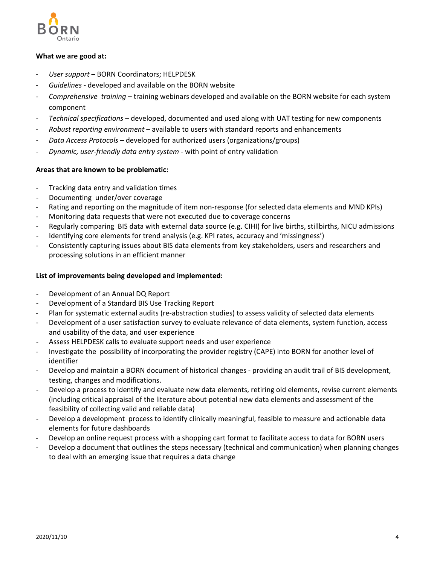

#### **What we are good at:**

- ‐ *User support* BORN Coordinators; HELPDESK
- ‐ *Guidelines ‐* developed and available on the BORN website
- ‐ *Comprehensive training* training webinars developed and available on the BORN website for each system component
- ‐ *Technical specifications* developed, documented and used along with UAT testing for new components
- ‐ *Robust reporting environment* available to users with standard reports and enhancements
- ‐ *Data Access Protocols –* developed for authorized users (organizations/groups)
- ‐ *Dynamic, user‐friendly data entry system* ‐ with point of entry validation

#### **Areas that are known to be problematic:**

- ‐ Tracking data entry and validation times
- ‐ Documenting under/over coverage
- Rating and reporting on the magnitude of item non-response (for selected data elements and MND KPIs)
- ‐ Monitoring data requests that were not executed due to coverage concerns
- ‐ Regularly comparing BIS data with external data source (e.g. CIHI) for live births, stillbirths, NICU admissions
- Identifying core elements for trend analysis (e.g. KPI rates, accuracy and 'missingness')
- ‐ Consistently capturing issues about BIS data elements from key stakeholders, users and researchers and processing solutions in an efficient manner

#### **List of improvements being developed and implemented:**

- ‐ Development of an Annual DQ Report
- ‐ Development of a Standard BIS Use Tracking Report
- ‐ Plan for systematic external audits (re‐abstraction studies) to assess validity of selected data elements
- ‐ Development of a user satisfaction survey to evaluate relevance of data elements, system function, access and usability of the data, and user experience
- ‐ Assess HELPDESK calls to evaluate support needs and user experience
- ‐ Investigate the possibility of incorporating the provider registry (CAPE) into BORN for another level of identifier
- ‐ Develop and maintain a BORN document of historical changes ‐ providing an audit trail of BIS development, testing, changes and modifications.
- ‐ Develop a process to identify and evaluate new data elements, retiring old elements, revise current elements (including critical appraisal of the literature about potential new data elements and assessment of the feasibility of collecting valid and reliable data)
- Develop a development process to identify clinically meaningful, feasible to measure and actionable data elements for future dashboards
- ‐ Develop an online request process with a shopping cart format to facilitate access to data for BORN users
- ‐ Develop a document that outlines the steps necessary (technical and communication) when planning changes to deal with an emerging issue that requires a data change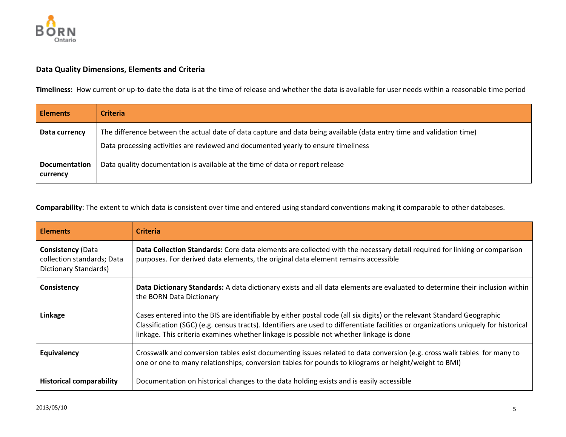

## **Data Quality Dimensions, Elements and Criteria**

**Timeliness:** How current or up-to-date the data is at the time of release and whether the data is available for user needs within a reasonable time period

| <b>Elements</b>                  | <b>Criteria</b>                                                                                                                                                                                             |
|----------------------------------|-------------------------------------------------------------------------------------------------------------------------------------------------------------------------------------------------------------|
| Data currency                    | The difference between the actual date of data capture and data being available (data entry time and validation time)<br>Data processing activities are reviewed and documented yearly to ensure timeliness |
| <b>Documentation</b><br>currency | Data quality documentation is available at the time of data or report release                                                                                                                               |

**Comparability**: The extent to which data is consistent over time and entered using standard conventions making it comparable to other databases.

| <b>Elements</b>                                                                 | <b>Criteria</b>                                                                                                                                                                                                                                                                                                                                           |
|---------------------------------------------------------------------------------|-----------------------------------------------------------------------------------------------------------------------------------------------------------------------------------------------------------------------------------------------------------------------------------------------------------------------------------------------------------|
| <b>Consistency (Data</b><br>collection standards; Data<br>Dictionary Standards) | Data Collection Standards: Core data elements are collected with the necessary detail required for linking or comparison<br>purposes. For derived data elements, the original data element remains accessible                                                                                                                                             |
| Consistency                                                                     | Data Dictionary Standards: A data dictionary exists and all data elements are evaluated to determine their inclusion within<br>the BORN Data Dictionary                                                                                                                                                                                                   |
| Linkage                                                                         | Cases entered into the BIS are identifiable by either postal code (all six digits) or the relevant Standard Geographic<br>Classification (SGC) (e.g. census tracts). Identifiers are used to differentiate facilities or organizations uniquely for historical<br>linkage. This criteria examines whether linkage is possible not whether linkage is done |
| Equivalency                                                                     | Crosswalk and conversion tables exist documenting issues related to data conversion (e.g. cross walk tables for many to<br>one or one to many relationships; conversion tables for pounds to kilograms or height/weight to BMI)                                                                                                                           |
| <b>Historical comparability</b>                                                 | Documentation on historical changes to the data holding exists and is easily accessible                                                                                                                                                                                                                                                                   |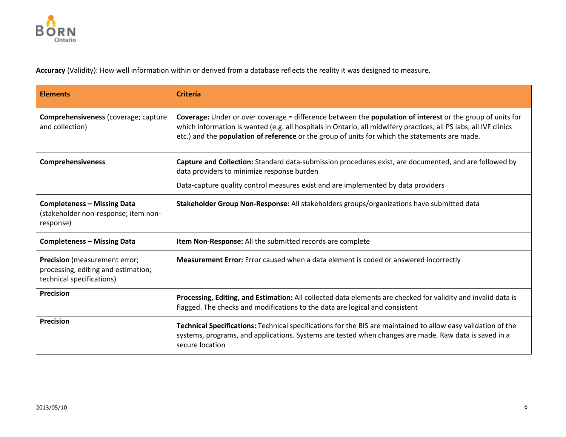

**Accuracy** (Validity): How well information within or derived from a database reflects the reality it was designed to measure.

| <b>Elements</b>                                                                                          | <b>Criteria</b>                                                                                                                                                                                                                                                                                                                          |
|----------------------------------------------------------------------------------------------------------|------------------------------------------------------------------------------------------------------------------------------------------------------------------------------------------------------------------------------------------------------------------------------------------------------------------------------------------|
| Comprehensiveness (coverage; capture<br>and collection)                                                  | Coverage: Under or over coverage = difference between the population of interest or the group of units for<br>which information is wanted (e.g. all hospitals in Ontario, all midwifery practices, all PS labs, all IVF clinics<br>etc.) and the <b>population of reference</b> or the group of units for which the statements are made. |
| <b>Comprehensiveness</b>                                                                                 | Capture and Collection: Standard data-submission procedures exist, are documented, and are followed by<br>data providers to minimize response burden                                                                                                                                                                                     |
|                                                                                                          | Data-capture quality control measures exist and are implemented by data providers                                                                                                                                                                                                                                                        |
| <b>Completeness - Missing Data</b><br>(stakeholder non-response; item non-<br>response)                  | Stakeholder Group Non-Response: All stakeholders groups/organizations have submitted data                                                                                                                                                                                                                                                |
| <b>Completeness - Missing Data</b>                                                                       | Item Non-Response: All the submitted records are complete                                                                                                                                                                                                                                                                                |
| <b>Precision</b> (measurement error;<br>processing, editing and estimation;<br>technical specifications) | <b>Measurement Error:</b> Error caused when a data element is coded or answered incorrectly                                                                                                                                                                                                                                              |
| <b>Precision</b>                                                                                         | Processing, Editing, and Estimation: All collected data elements are checked for validity and invalid data is<br>flagged. The checks and modifications to the data are logical and consistent                                                                                                                                            |
| <b>Precision</b>                                                                                         | Technical Specifications: Technical specifications for the BIS are maintained to allow easy validation of the<br>systems, programs, and applications. Systems are tested when changes are made. Raw data is saved in a<br>secure location                                                                                                |